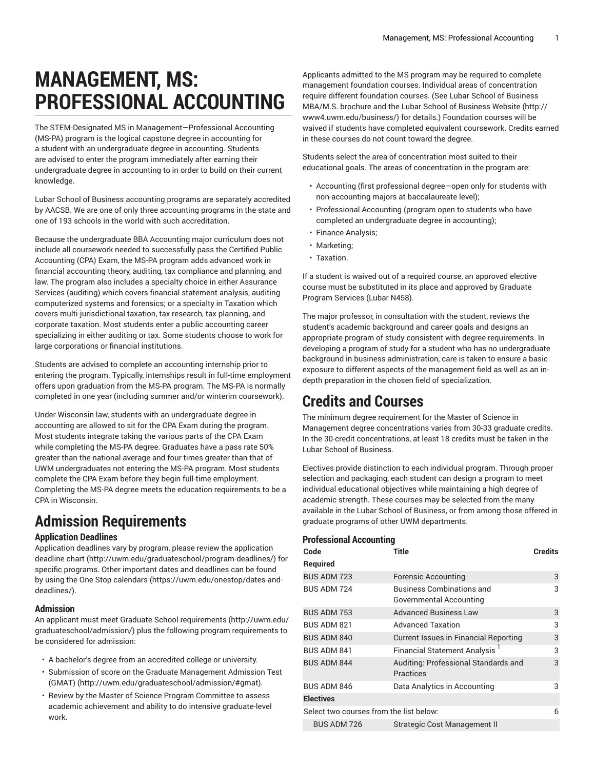# **MANAGEMENT, MS: PROFESSIONAL ACCOUNTING**

The STEM-Designated MS in Management—Professional Accounting (MS-PA) program is the logical capstone degree in accounting for a student with an undergraduate degree in accounting. Students are advised to enter the program immediately after earning their undergraduate degree in accounting to in order to build on their current knowledge.

Lubar School of Business accounting programs are separately accredited by AACSB. We are one of only three accounting programs in the state and one of 193 schools in the world with such accreditation.

Because the undergraduate BBA Accounting major curriculum does not include all coursework needed to successfully pass the Certified Public Accounting (CPA) Exam, the MS-PA program adds advanced work in financial accounting theory, auditing, tax compliance and planning, and law. The program also includes a specialty choice in either Assurance Services (auditing) which covers financial statement analysis, auditing computerized systems and forensics; or a specialty in Taxation which covers multi-jurisdictional taxation, tax research, tax planning, and corporate taxation. Most students enter a public accounting career specializing in either auditing or tax. Some students choose to work for large corporations or financial institutions.

Students are advised to complete an accounting internship prior to entering the program. Typically, internships result in full-time employment offers upon graduation from the MS-PA program. The MS-PA is normally completed in one year (including summer and/or winterim coursework).

Under Wisconsin law, students with an undergraduate degree in accounting are allowed to sit for the CPA Exam during the program. Most students integrate taking the various parts of the CPA Exam while completing the MS-PA degree. Graduates have a pass rate 50% greater than the national average and four times greater than that of UWM undergraduates not entering the MS-PA program. Most students complete the CPA Exam before they begin full-time employment. Completing the MS-PA degree meets the education requirements to be a CPA in Wisconsin.

# **Admission Requirements**

# **Application Deadlines**

Application deadlines vary by program, please review the [application](http://uwm.edu/graduateschool/program-deadlines/) [deadline](http://uwm.edu/graduateschool/program-deadlines/) chart ([http://uwm.edu/graduateschool/program-deadlines/\)](http://uwm.edu/graduateschool/program-deadlines/) for specific programs. Other important dates and deadlines can be found by using the [One Stop calendars](https://uwm.edu/onestop/dates-and-deadlines/) ([https://uwm.edu/onestop/dates-and](https://uwm.edu/onestop/dates-and-deadlines/)[deadlines/\)](https://uwm.edu/onestop/dates-and-deadlines/).

# **Admission**

An applicant must meet Graduate School [requirements](http://uwm.edu/graduateschool/admission/) ([http://uwm.edu/](http://uwm.edu/graduateschool/admission/) [graduateschool/admission/](http://uwm.edu/graduateschool/admission/)) plus the following program requirements to be considered for admission:

- A bachelor's degree from an accredited college or university.
- Submission of score on the Graduate [Management](http://uwm.edu/graduateschool/admission/#gmat) Admission Test [\(GMAT\) \(http://uwm.edu/graduateschool/admission/#gmat\)](http://uwm.edu/graduateschool/admission/#gmat).
- Review by the Master of Science Program Committee to assess academic achievement and ability to do intensive graduate-level work.

Applicants admitted to the MS program may be required to complete management foundation courses. Individual areas of concentration require different foundation courses. (See Lubar School of Business MBA/M.S. brochure and the Lubar School of [Business](http://www4.uwm.edu/business/) Website [\(http://](http://www4.uwm.edu/business/) [www4.uwm.edu/business/](http://www4.uwm.edu/business/)) for details.) Foundation courses will be waived if students have completed equivalent coursework. Credits earned in these courses do not count toward the degree.

Students select the area of concentration most suited to their educational goals. The areas of concentration in the program are:

- Accounting (first professional degree—open only for students with non-accounting majors at baccalaureate level);
- Professional Accounting (program open to students who have completed an undergraduate degree in accounting);
- Finance Analysis;
- Marketing;
- Taxation.

If a student is waived out of a required course, an approved elective course must be substituted in its place and approved by Graduate Program Services (Lubar N458).

The major professor, in consultation with the student, reviews the student's academic background and career goals and designs an appropriate program of study consistent with degree requirements. In developing a program of study for a student who has no undergraduate background in business administration, care is taken to ensure a basic exposure to different aspects of the management field as well as an indepth preparation in the chosen field of specialization.

# **Credits and Courses**

The minimum degree requirement for the Master of Science in Management degree concentrations varies from 30-33 graduate credits. In the 30-credit concentrations, at least 18 credits must be taken in the Lubar School of Business.

Electives provide distinction to each individual program. Through proper selection and packaging, each student can design a program to meet individual educational objectives while maintaining a high degree of academic strength. These courses may be selected from the many available in the Lubar School of Business, or from among those offered in graduate programs of other UWM departments.

# **Professional Accounting**

| Title                                                       | <b>Credits</b> |  |  |  |
|-------------------------------------------------------------|----------------|--|--|--|
|                                                             |                |  |  |  |
| <b>Forensic Accounting</b>                                  | 3              |  |  |  |
| <b>Business Combinations and</b><br>Governmental Accounting | 3              |  |  |  |
| <b>Advanced Business Law</b>                                | 3              |  |  |  |
| <b>Advanced Taxation</b>                                    | 3              |  |  |  |
| <b>Current Issues in Financial Reporting</b>                | 3              |  |  |  |
| Financial Statement Analysis <sup>1</sup>                   | 3              |  |  |  |
| Auditing: Professional Standards and<br>Practices           | 3              |  |  |  |
| Data Analytics in Accounting                                | 3              |  |  |  |
|                                                             |                |  |  |  |
| Select two courses from the list below:<br>6                |                |  |  |  |
| Strategic Cost Management II                                |                |  |  |  |
|                                                             |                |  |  |  |